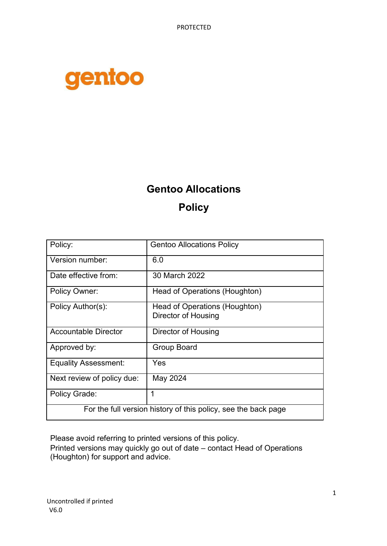PROTECTED



# **Gentoo Allocations Policy**

| Policy:                                                        | <b>Gentoo Allocations Policy</b>                     |  |  |  |  |  |
|----------------------------------------------------------------|------------------------------------------------------|--|--|--|--|--|
| Version number:                                                | 6.0                                                  |  |  |  |  |  |
| Date effective from:                                           | 30 March 2022                                        |  |  |  |  |  |
| Policy Owner:                                                  | Head of Operations (Houghton)                        |  |  |  |  |  |
| Policy Author(s):                                              | Head of Operations (Houghton)<br>Director of Housing |  |  |  |  |  |
| <b>Accountable Director</b>                                    | Director of Housing                                  |  |  |  |  |  |
| Approved by:                                                   | <b>Group Board</b>                                   |  |  |  |  |  |
| <b>Equality Assessment:</b>                                    | Yes                                                  |  |  |  |  |  |
| Next review of policy due:                                     | May 2024                                             |  |  |  |  |  |
| Policy Grade:                                                  | 1                                                    |  |  |  |  |  |
| For the full version history of this policy, see the back page |                                                      |  |  |  |  |  |

Please avoid referring to printed versions of this policy.

Printed versions may quickly go out of date – contact Head of Operations (Houghton) for support and advice.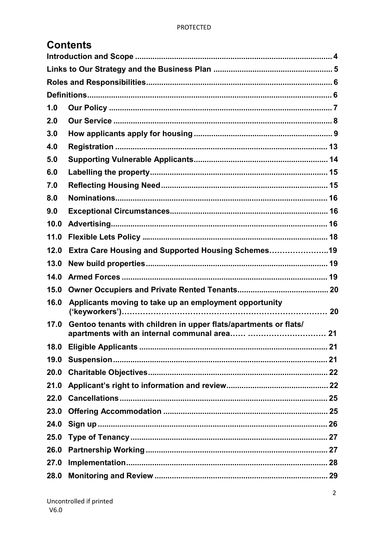|      | <b>Contents</b>                                                  |  |
|------|------------------------------------------------------------------|--|
|      |                                                                  |  |
|      |                                                                  |  |
|      |                                                                  |  |
|      |                                                                  |  |
| 1.0  |                                                                  |  |
| 2.0  |                                                                  |  |
| 3.0  |                                                                  |  |
| 4.0  |                                                                  |  |
| 5.0  |                                                                  |  |
| 6.0  |                                                                  |  |
| 7.0  |                                                                  |  |
| 8.0  |                                                                  |  |
| 9.0  |                                                                  |  |
| 10.0 |                                                                  |  |
| 11.0 |                                                                  |  |
| 12.0 | Extra Care Housing and Supported Housing Schemes19               |  |
| 13.0 |                                                                  |  |
| 14.0 |                                                                  |  |
| 15.0 |                                                                  |  |
| 16.0 | Applicants moving to take up an employment opportunity           |  |
| 17.0 | Gentoo tenants with children in upper flats/apartments or flats/ |  |
|      |                                                                  |  |
| 18.0 |                                                                  |  |
| 19.0 |                                                                  |  |
| 20.0 |                                                                  |  |
| 21.0 |                                                                  |  |
| 22.0 |                                                                  |  |
| 23.0 |                                                                  |  |
| 24.0 |                                                                  |  |
| 25.0 |                                                                  |  |
| 26.0 |                                                                  |  |
| 27.0 |                                                                  |  |
| 28.0 |                                                                  |  |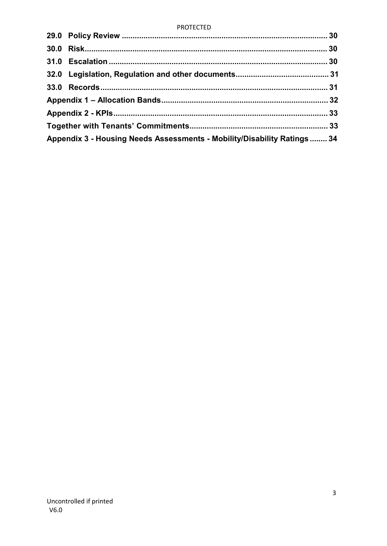#### **PROTECTED**

| Appendix 3 - Housing Needs Assessments - Mobility/Disability Ratings 34 |  |
|-------------------------------------------------------------------------|--|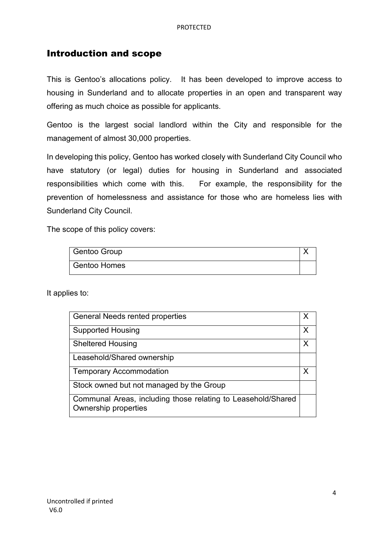#### Introduction and scope

This is Gentoo's allocations policy. It has been developed to improve access to housing in Sunderland and to allocate properties in an open and transparent way offering as much choice as possible for applicants.

Gentoo is the largest social landlord within the City and responsible for the management of almost 30,000 properties.

In developing this policy, Gentoo has worked closely with Sunderland City Council who have statutory (or legal) duties for housing in Sunderland and associated responsibilities which come with this. For example, the responsibility for the prevention of homelessness and assistance for those who are homeless lies with Sunderland City Council.

The scope of this policy covers:

| Gentoo Group        |  |
|---------------------|--|
| <b>Gentoo Homes</b> |  |

It applies to:

| <b>General Needs rented properties</b>                                                      | Х |
|---------------------------------------------------------------------------------------------|---|
| <b>Supported Housing</b>                                                                    | X |
| <b>Sheltered Housing</b>                                                                    | X |
| Leasehold/Shared ownership                                                                  |   |
| <b>Temporary Accommodation</b>                                                              |   |
| Stock owned but not managed by the Group                                                    |   |
| Communal Areas, including those relating to Leasehold/Shared<br><b>Ownership properties</b> |   |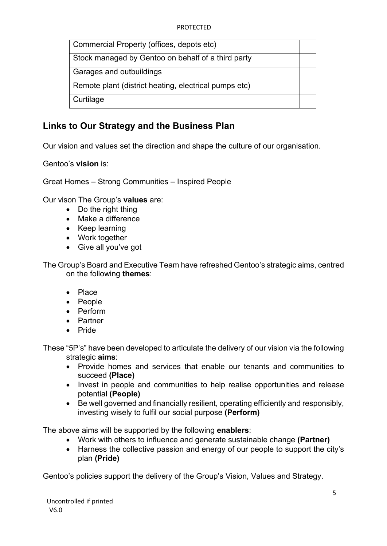| Commercial Property (offices, depots etc)             |  |
|-------------------------------------------------------|--|
| Stock managed by Gentoo on behalf of a third party    |  |
| Garages and outbuildings                              |  |
| Remote plant (district heating, electrical pumps etc) |  |
| Curtilage                                             |  |

## **Links to Our Strategy and the Business Plan**

Our vision and values set the direction and shape the culture of our organisation.

Gentoo's **vision** is:

Great Homes – Strong Communities – Inspired People

Our vison The Group's **values** are:

- Do the right thing
- Make a difference
- Keep learning
- Work together
- Give all you've got

The Group's Board and Executive Team have refreshed Gentoo's strategic aims, centred on the following **themes**:

- Place
- People
- Perform
- Partner
- Pride

These "5P's" have been developed to articulate the delivery of our vision via the following strategic **aims**:

- Provide homes and services that enable our tenants and communities to succeed **(Place)**
- Invest in people and communities to help realise opportunities and release potential **(People)**
- Be well governed and financially resilient, operating efficiently and responsibly, investing wisely to fulfil our social purpose **(Perform)**

The above aims will be supported by the following **enablers**:

- Work with others to influence and generate sustainable change **(Partner)**
- Harness the collective passion and energy of our people to support the city's plan **(Pride)**

Gentoo's policies support the delivery of the Group's Vision, Values and Strategy.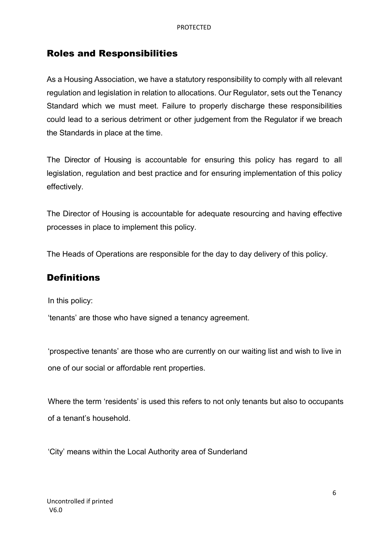#### Roles and Responsibilities

As a Housing Association, we have a statutory responsibility to comply with all relevant regulation and legislation in relation to allocations. Our Regulator, sets out the Tenancy Standard which we must meet. Failure to properly discharge these responsibilities could lead to a serious detriment or other judgement from the Regulator if we breach the Standards in place at the time.

The Director of Housing is accountable for ensuring this policy has regard to all legislation, regulation and best practice and for ensuring implementation of this policy effectively.

The Director of Housing is accountable for adequate resourcing and having effective processes in place to implement this policy.

The Heads of Operations are responsible for the day to day delivery of this policy.

#### **Definitions**

In this policy:

'tenants' are those who have signed a tenancy agreement.

 'prospective tenants' are those who are currently on our waiting list and wish to live in one of our social or affordable rent properties.

 Where the term 'residents' is used this refers to not only tenants but also to occupants of a tenant's household.

'City' means within the Local Authority area of Sunderland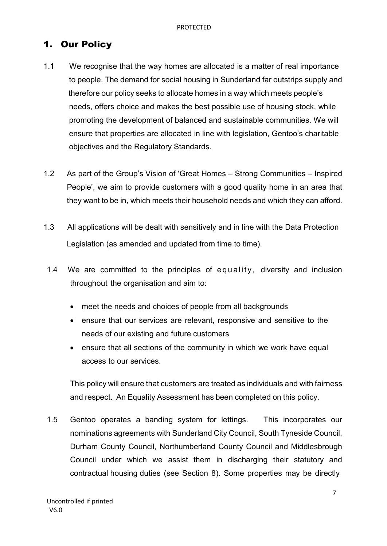## 1. Our Policy

- 1.1 We recognise that the way homes are allocated is a matter of real importance to people. The demand for social housing in Sunderland far outstrips supply and therefore our policy seeks to allocate homes in a way which meets people's needs, offers choice and makes the best possible use of housing stock, while promoting the development of balanced and sustainable communities. We will ensure that properties are allocated in line with legislation, Gentoo's charitable objectives and the Regulatory Standards.
- 1.2 As part of the Group's Vision of 'Great Homes Strong Communities Inspired People', we aim to provide customers with a good quality home in an area that they want to be in, which meets their household needs and which they can afford.
- 1.3 All applications will be dealt with sensitively and in line with the Data Protection Legislation (as amended and updated from time to time).
- 1.4 We are committed to the principles of equality, diversity and inclusion throughout the organisation and aim to:
	- meet the needs and choices of people from all backgrounds
	- ensure that our services are relevant, responsive and sensitive to the needs of our existing and future customers
	- ensure that all sections of the community in which we work have equal access to our services.

This policy will ensure that customers are treated as individuals and with fairness and respect. An Equality Assessment has been completed on this policy.

1.5 Gentoo operates a banding system for lettings. This incorporates our nominations agreements with Sunderland City Council, South Tyneside Council, Durham County Council, Northumberland County Council and Middlesbrough Council under which we assist them in discharging their statutory and contractual housing duties (see Section 8). Some properties may be directly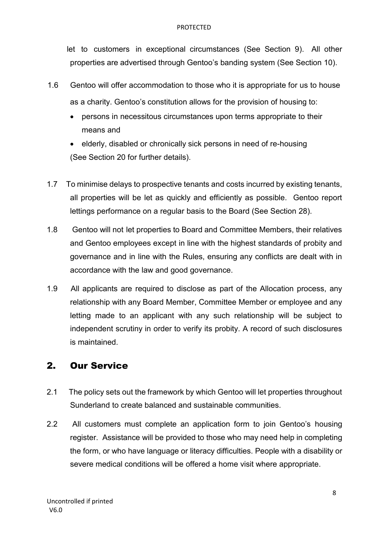#### PROTECTED

let to customers in exceptional circumstances (See Section 9). All other properties are advertised through Gentoo's banding system (See Section 10).

- 1.6 Gentoo will offer accommodation to those who it is appropriate for us to house as a charity. Gentoo's constitution allows for the provision of housing to:
	- persons in necessitous circumstances upon terms appropriate to their means and
	- elderly, disabled or chronically sick persons in need of re-housing (See Section 20 for further details).
- 1.7 To minimise delays to prospective tenants and costs incurred by existing tenants, all properties will be let as quickly and efficiently as possible. Gentoo report lettings performance on a regular basis to the Board (See Section 28).
- 1.8 Gentoo will not let properties to Board and Committee Members, their relatives and Gentoo employees except in line with the highest standards of probity and governance and in line with the Rules, ensuring any conflicts are dealt with in accordance with the law and good governance.
- 1.9 All applicants are required to disclose as part of the Allocation process, any relationship with any Board Member, Committee Member or employee and any letting made to an applicant with any such relationship will be subject to independent scrutiny in order to verify its probity. A record of such disclosures is maintained.

## 2. Our Service

- 2.1 The policy sets out the framework by which Gentoo will let properties throughout Sunderland to create balanced and sustainable communities.
- 2.2 All customers must complete an application form to join Gentoo's housing register. Assistance will be provided to those who may need help in completing the form, or who have language or literacy difficulties. People with a disability or severe medical conditions will be offered a home visit where appropriate.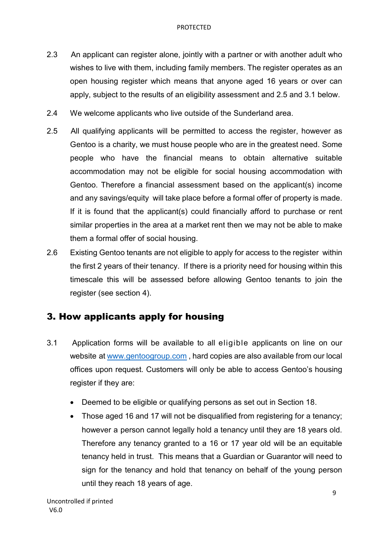- 2.3 An applicant can register alone, jointly with a partner or with another adult who wishes to live with them, including family members. The register operates as an open housing register which means that anyone aged 16 years or over can apply, subject to the results of an eligibility assessment and 2.5 and 3.1 below.
- 2.4 We welcome applicants who live outside of the Sunderland area.
- 2.5 All qualifying applicants will be permitted to access the register, however as Gentoo is a charity, we must house people who are in the greatest need. Some people who have the financial means to obtain alternative suitable accommodation may not be eligible for social housing accommodation with Gentoo. Therefore a financial assessment based on the applicant(s) income and any savings/equity will take place before a formal offer of property is made. If it is found that the applicant(s) could financially afford to purchase or rent similar properties in the area at a market rent then we may not be able to make them a formal offer of social housing.
- 2.6 Existing Gentoo tenants are not eligible to apply for access to the register within the first 2 years of their tenancy. If there is a priority need for housing within this timescale this will be assessed before allowing Gentoo tenants to join the register (see section 4).

## 3. How applicants apply for housing

- 3.1 Application forms will be available to all eligible applicants on line on our website at [www.gentoogroup.com ,](http://www.gentoogroup.com/) hard copies are also available from our local offices upon request. Customers will only be able to access Gentoo's housing register if they are:
	- Deemed to be eligible or qualifying persons as set out in Section 18.
	- Those aged 16 and 17 will not be disqualified from registering for a tenancy; however a person cannot legally hold a tenancy until they are 18 years old. Therefore any tenancy granted to a 16 or 17 year old will be an equitable tenancy held in trust. This means that a Guardian or Guarantor will need to sign for the tenancy and hold that tenancy on behalf of the young person until they reach 18 years of age.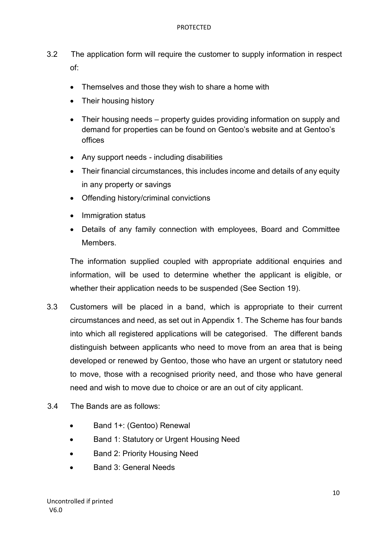- 3.2 The application form will require the customer to supply information in respect of:
	- Themselves and those they wish to share a home with
	- Their housing history
	- Their housing needs property quides providing information on supply and demand for properties can be found on Gentoo's website and at Gentoo's offices
	- Any support needs including disabilities
	- Their financial circumstances, this includes income and details of any equity in any property or savings
	- Offending history/criminal convictions
	- Immigration status
	- Details of any family connection with employees, Board and Committee **Members**

The information supplied coupled with appropriate additional enquiries and information, will be used to determine whether the applicant is eligible, or whether their application needs to be suspended (See Section 19).

- 3.3 Customers will be placed in a band, which is appropriate to their current circumstances and need, as set out in Appendix 1. The Scheme has four bands into which all registered applications will be categorised. The different bands distinguish between applicants who need to move from an area that is being developed or renewed by Gentoo, those who have an urgent or statutory need to move, those with a recognised priority need, and those who have general need and wish to move due to choice or are an out of city applicant.
- 3.4 The Bands are as follows:
	- Band 1+: (Gentoo) Renewal
	- Band 1: Statutory or Urgent Housing Need
	- Band 2: Priority Housing Need
	- Band 3: General Needs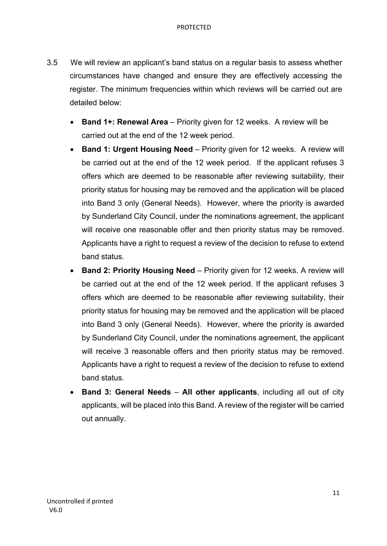- 3.5 We will review an applicant's band status on a regular basis to assess whether circumstances have changed and ensure they are effectively accessing the register. The minimum frequencies within which reviews will be carried out are detailed below:
	- **Band 1+: Renewal Area** Priority given for 12 weeks. A review will be carried out at the end of the 12 week period.
	- **Band 1: Urgent Housing Need** Priority given for 12 weeks. A review will be carried out at the end of the 12 week period. If the applicant refuses 3 offers which are deemed to be reasonable after reviewing suitability, their priority status for housing may be removed and the application will be placed into Band 3 only (General Needs). However, where the priority is awarded by Sunderland City Council, under the nominations agreement, the applicant will receive one reasonable offer and then priority status may be removed. Applicants have a right to request a review of the decision to refuse to extend band status.
	- **Band 2: Priority Housing Need** Priority given for 12 weeks. A review will be carried out at the end of the 12 week period. If the applicant refuses 3 offers which are deemed to be reasonable after reviewing suitability, their priority status for housing may be removed and the application will be placed into Band 3 only (General Needs). However, where the priority is awarded by Sunderland City Council, under the nominations agreement, the applicant will receive 3 reasonable offers and then priority status may be removed. Applicants have a right to request a review of the decision to refuse to extend band status.
	- **Band 3: General Needs All other applicants**, including all out of city applicants, will be placed into this Band. A review of the register will be carried out annually.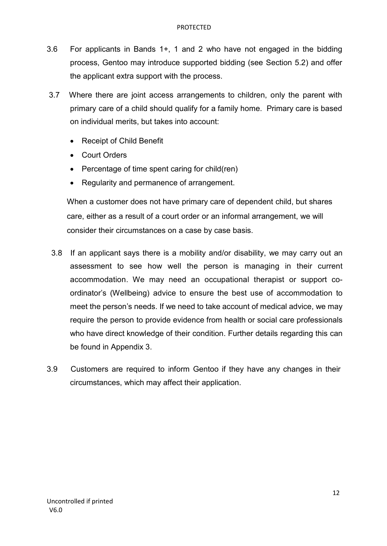- 3.6 For applicants in Bands 1+, 1 and 2 who have not engaged in the bidding process, Gentoo may introduce supported bidding (see Section 5.2) and offer the applicant extra support with the process.
- 3.7 Where there are joint access arrangements to children, only the parent with primary care of a child should qualify for a family home. Primary care is based on individual merits, but takes into account:
	- Receipt of Child Benefit
	- Court Orders
	- Percentage of time spent caring for child(ren)
	- Regularity and permanence of arrangement.

When a customer does not have primary care of dependent child, but shares care, either as a result of a court order or an informal arrangement, we will consider their circumstances on a case by case basis.

- 3.8 If an applicant says there is a mobility and/or disability, we may carry out an assessment to see how well the person is managing in their current accommodation. We may need an occupational therapist or support coordinator's (Wellbeing) advice to ensure the best use of accommodation to meet the person's needs. If we need to take account of medical advice, we may require the person to provide evidence from health or social care professionals who have direct knowledge of their condition. Further details regarding this can be found in Appendix 3.
- 3.9 Customers are required to inform Gentoo if they have any changes in their circumstances, which may affect their application.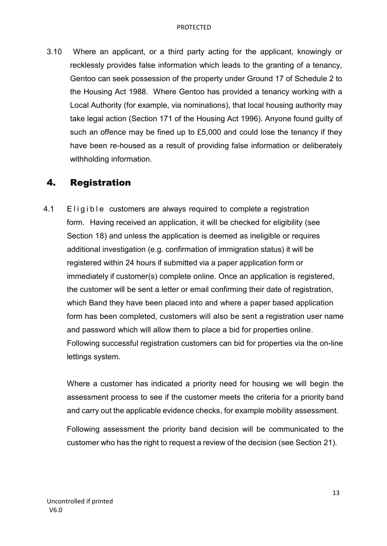3.10 Where an applicant, or a third party acting for the applicant, knowingly or recklessly provides false information which leads to the granting of a tenancy, Gentoo can seek possession of the property under Ground 17 of Schedule 2 to the Housing Act 1988. Where Gentoo has provided a tenancy working with a Local Authority (for example, via nominations), that local housing authority may take legal action (Section 171 of the Housing Act 1996). Anyone found guilty of such an offence may be fined up to £5,000 and could lose the tenancy if they have been re-housed as a result of providing false information or deliberately withholding information.

### 4. Registration

4.1 Eligible customers are always required to complete a registration form. Having received an application, it will be checked for eligibility (see Section 18) and unless the application is deemed as ineligible or requires additional investigation (e.g. confirmation of immigration status) it will be registered within 24 hours if submitted via a paper application form or immediately if customer(s) complete online. Once an application is registered, the customer will be sent a letter or email confirming their date of registration, which Band they have been placed into and where a paper based application form has been completed, customers will also be sent a registration user name and password which will allow them to place a bid for properties online. Following successful registration customers can bid for properties via the on-line lettings system.

Where a customer has indicated a priority need for housing we will begin the assessment process to see if the customer meets the criteria for a priority band and carry out the applicable evidence checks, for example mobility assessment.

Following assessment the priority band decision will be communicated to the customer who has the right to request a review of the decision (see Section 21).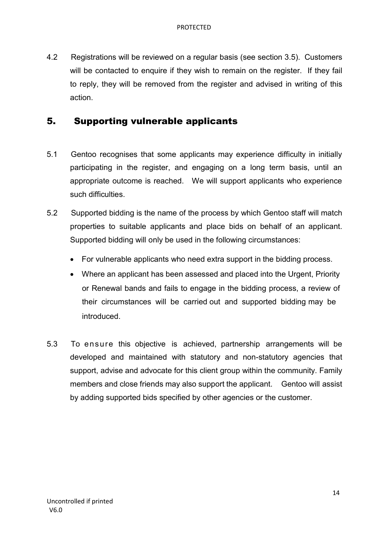4.2 Registrations will be reviewed on a regular basis (see section 3.5). Customers will be contacted to enquire if they wish to remain on the register. If they fail to reply, they will be removed from the register and advised in writing of this action.

### 5. Supporting vulnerable applicants

- 5.1 Gentoo recognises that some applicants may experience difficulty in initially participating in the register, and engaging on a long term basis, until an appropriate outcome is reached. We will support applicants who experience such difficulties.
- 5.2 Supported bidding is the name of the process by which Gentoo staff will match properties to suitable applicants and place bids on behalf of an applicant. Supported bidding will only be used in the following circumstances:
	- For vulnerable applicants who need extra support in the bidding process.
	- Where an applicant has been assessed and placed into the Urgent, Priority or Renewal bands and fails to engage in the bidding process, a review of their circumstances will be carried out and supported bidding may be introduced.
- 5.3 To ensure this objective is achieved, partnership arrangements will be developed and maintained with statutory and non-statutory agencies that support, advise and advocate for this client group within the community. Family members and close friends may also support the applicant. Gentoo will assist by adding supported bids specified by other agencies or the customer.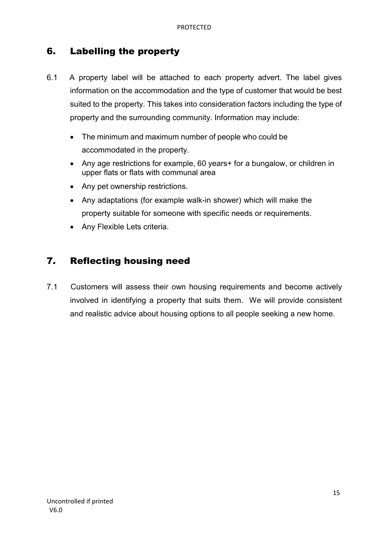## 6. Labelling the property

- 6.1 A property label will be attached to each property advert. The label gives information on the accommodation and the type of customer that would be best suited to the property. This takes into consideration factors including the type of property and the surrounding community. Information may include:
	- The minimum and maximum number of people who could be accommodated in the property.
	- Any age restrictions for example, 60 years+ for a bungalow, or children in upper flats or flats with communal area
	- Any pet ownership restrictions.
	- Any adaptations (for example walk-in shower) which will make the property suitable for someone with specific needs or requirements.
	- Any Flexible Lets criteria.

### 7. Reflecting housing need

7.1 Customers will assess their own housing requirements and become actively involved in identifying a property that suits them. We will provide consistent and realistic advice about housing options to all people seeking a new home.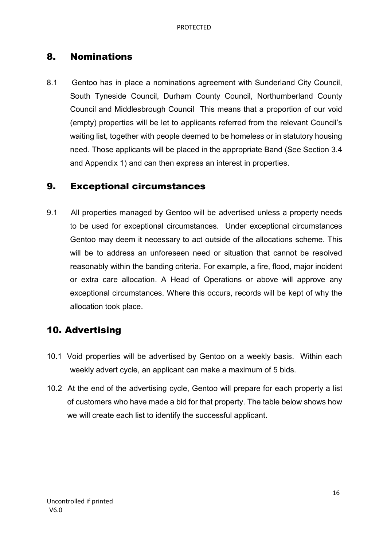## 8. Nominations

8.1 Gentoo has in place a nominations agreement with Sunderland City Council, South Tyneside Council, Durham County Council, Northumberland County Council and Middlesbrough Council This means that a proportion of our void (empty) properties will be let to applicants referred from the relevant Council's waiting list, together with people deemed to be homeless or in statutory housing need. Those applicants will be placed in the appropriate Band (See Section 3.4 and Appendix 1) and can then express an interest in properties.

### 9. Exceptional circumstances

9.1 All properties managed by Gentoo will be advertised unless a property needs to be used for exceptional circumstances. Under exceptional circumstances Gentoo may deem it necessary to act outside of the allocations scheme. This will be to address an unforeseen need or situation that cannot be resolved reasonably within the banding criteria. For example, a fire, flood, major incident or extra care allocation. A Head of Operations or above will approve any exceptional circumstances. Where this occurs, records will be kept of why the allocation took place.

## 10. Advertising

- 10.1 Void properties will be advertised by Gentoo on a weekly basis. Within each weekly advert cycle, an applicant can make a maximum of 5 bids.
- 10.2 At the end of the advertising cycle, Gentoo will prepare for each property a list of customers who have made a bid for that property. The table below shows how we will create each list to identify the successful applicant.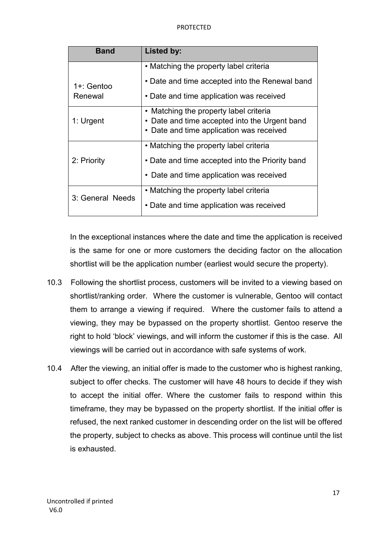| <b>Band</b>      | <b>Listed by:</b>                               |
|------------------|-------------------------------------------------|
|                  | • Matching the property label criteria          |
| 1+: Gentoo       | • Date and time accepted into the Renewal band  |
| Renewal          | • Date and time application was received        |
|                  | • Matching the property label criteria          |
| 1: Urgent        | • Date and time accepted into the Urgent band   |
|                  | Date and time application was received          |
|                  | • Matching the property label criteria          |
| 2: Priority      | • Date and time accepted into the Priority band |
|                  | • Date and time application was received        |
|                  | • Matching the property label criteria          |
| 3: General Needs | • Date and time application was received        |

In the exceptional instances where the date and time the application is received is the same for one or more customers the deciding factor on the allocation shortlist will be the application number (earliest would secure the property).

- 10.3 Following the shortlist process, customers will be invited to a viewing based on shortlist/ranking order. Where the customer is vulnerable, Gentoo will contact them to arrange a viewing if required. Where the customer fails to attend a viewing, they may be bypassed on the property shortlist. Gentoo reserve the right to hold 'block' viewings, and will inform the customer if this is the case. All viewings will be carried out in accordance with safe systems of work.
- 10.4 After the viewing, an initial offer is made to the customer who is highest ranking, subject to offer checks. The customer will have 48 hours to decide if they wish to accept the initial offer. Where the customer fails to respond within this timeframe, they may be bypassed on the property shortlist. If the initial offer is refused, the next ranked customer in descending order on the list will be offered the property, subject to checks as above. This process will continue until the list is exhausted.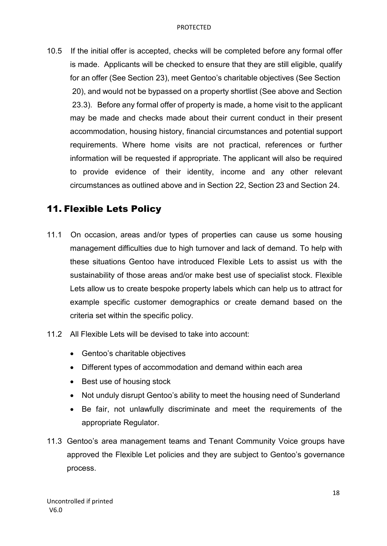10.5 If the initial offer is accepted, checks will be completed before any formal offer is made. Applicants will be checked to ensure that they are still eligible, qualify for an offer (See Section 23), meet Gentoo's charitable objectives (See Section 20), and would not be bypassed on a property shortlist (See above and Section 23.3). Before any formal offer of property is made, a home visit to the applicant may be made and checks made about their current conduct in their present accommodation, housing history, financial circumstances and potential support requirements. Where home visits are not practical, references or further information will be requested if appropriate. The applicant will also be required to provide evidence of their identity, income and any other relevant circumstances as outlined above and in Section 22, Section 23 and Section 24.

## 11. Flexible Lets Policy

- 11.1 On occasion, areas and/or types of properties can cause us some housing management difficulties due to high turnover and lack of demand. To help with these situations Gentoo have introduced Flexible Lets to assist us with the sustainability of those areas and/or make best use of specialist stock. Flexible Lets allow us to create bespoke property labels which can help us to attract for example specific customer demographics or create demand based on the criteria set within the specific policy.
- 11.2 All Flexible Lets will be devised to take into account:
	- Gentoo's charitable objectives
	- Different types of accommodation and demand within each area
	- Best use of housing stock
	- Not unduly disrupt Gentoo's ability to meet the housing need of Sunderland
	- Be fair, not unlawfully discriminate and meet the requirements of the appropriate Regulator.
- 11.3 Gentoo's area management teams and Tenant Community Voice groups have approved the Flexible Let policies and they are subject to Gentoo's governance process.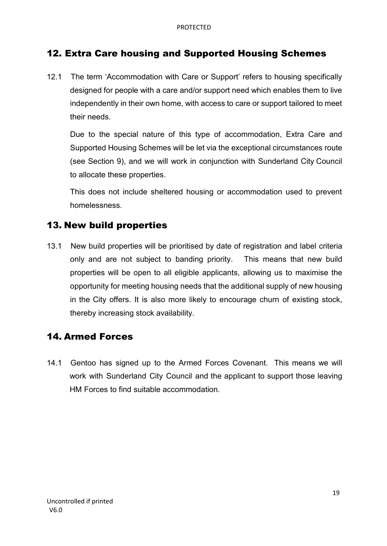## 12. Extra Care housing and Supported Housing Schemes

12.1 The term 'Accommodation with Care or Support' refers to housing specifically designed for people with a care and/or support need which enables them to live independently in their own home, with access to care or support tailored to meet their needs.

Due to the special nature of this type of accommodation, Extra Care and Supported Housing Schemes will be let via the exceptional circumstances route (see Section 9), and we will work in conjunction with Sunderland City Council to allocate these properties.

This does not include sheltered housing or accommodation used to prevent homelessness.

## 13. New build properties

13.1 New build properties will be prioritised by date of registration and label criteria only and are not subject to banding priority. This means that new build properties will be open to all eligible applicants, allowing us to maximise the opportunity for meeting housing needs that the additional supply of new housing in the City offers. It is also more likely to encourage churn of existing stock, thereby increasing stock availability.

### 14. Armed Forces

14.1 Gentoo has signed up to the Armed Forces Covenant. This means we will work with Sunderland City Council and the applicant to support those leaving HM Forces to find suitable accommodation.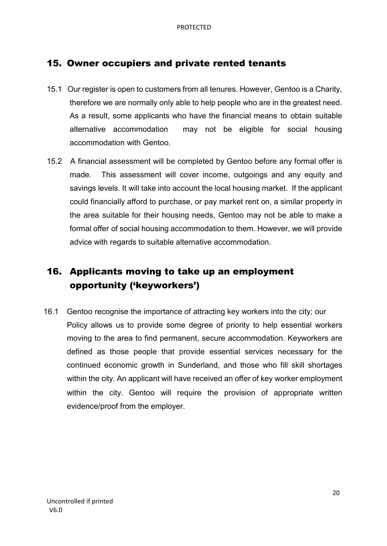### 15. Owner occupiers and private rented tenants

- 15.1 Our register is open to customers from all tenures. However, Gentoo is a Charity, therefore we are normally only able to help people who are in the greatest need. As a result, some applicants who have the financial means to obtain suitable alternative accommodation may not be eligible for social housing accommodation with Gentoo.
- 15.2 A financial assessment will be completed by Gentoo before any formal offer is made. This assessment will cover income, outgoings and any equity and savings levels. It will take into account the local housing market. If the applicant could financially afford to purchase, or pay market rent on, a similar property in the area suitable for their housing needs, Gentoo may not be able to make a formal offer of social housing accommodation to them. However, we will provide advice with regards to suitable alternative accommodation.

## 16. Applicants moving to take up an employment opportunity ('keyworkers')

16.1 Gentoo recognise the importance of attracting key workers into the city; our Policy allows us to provide some degree of priority to help essential workers moving to the area to find permanent, secure accommodation. Keyworkers are defined as those people that provide essential services necessary for the continued economic growth in Sunderland, and those who fill skill shortages within the city. An applicant will have received an offer of key worker employment within the city. Gentoo will require the provision of appropriate written evidence/proof from the employer.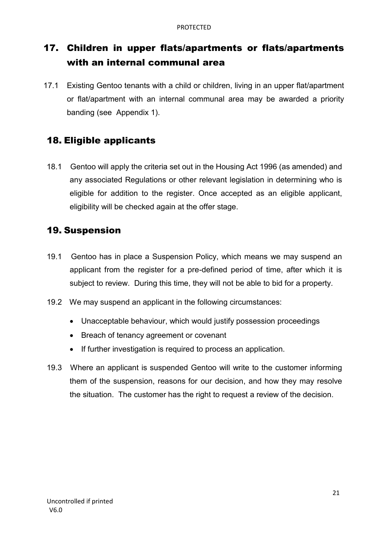## 17. Children in upper flats/apartments or flats/apartments with an internal communal area

17.1 Existing Gentoo tenants with a child or children, living in an upper flat/apartment or flat/apartment with an internal communal area may be awarded a priority banding (see Appendix 1).

## 18. Eligible applicants

18.1 Gentoo will apply the criteria set out in the Housing Act 1996 (as amended) and any associated Regulations or other relevant legislation in determining who is eligible for addition to the register. Once accepted as an eligible applicant, eligibility will be checked again at the offer stage.

## 19. Suspension

- 19.1 Gentoo has in place a Suspension Policy, which means we may suspend an applicant from the register for a pre-defined period of time, after which it is subject to review. During this time, they will not be able to bid for a property.
- 19.2 We may suspend an applicant in the following circumstances:
	- Unacceptable behaviour, which would justify possession proceedings
	- Breach of tenancy agreement or covenant
	- If further investigation is required to process an application.
- 19.3 Where an applicant is suspended Gentoo will write to the customer informing them of the suspension, reasons for our decision, and how they may resolve the situation. The customer has the right to request a review of the decision.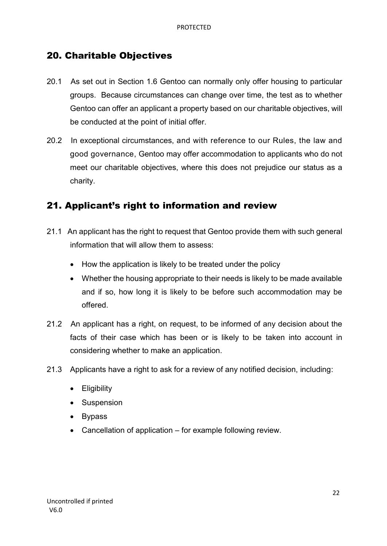## 20. Charitable Objectives

- 20.1 As set out in Section 1.6 Gentoo can normally only offer housing to particular groups. Because circumstances can change over time, the test as to whether Gentoo can offer an applicant a property based on our charitable objectives, will be conducted at the point of initial offer.
- 20.2 In exceptional circumstances, and with reference to our Rules, the law and good governance, Gentoo may offer accommodation to applicants who do not meet our charitable objectives, where this does not prejudice our status as a charity.

### 21. Applicant's right to information and review

- 21.1 An applicant has the right to request that Gentoo provide them with such general information that will allow them to assess:
	- How the application is likely to be treated under the policy
	- Whether the housing appropriate to their needs is likely to be made available and if so, how long it is likely to be before such accommodation may be offered.
- 21.2 An applicant has a right, on request, to be informed of any decision about the facts of their case which has been or is likely to be taken into account in considering whether to make an application.
- 21.3 Applicants have a right to ask for a review of any notified decision, including:
	- Eligibility
	- Suspension
	- Bypass
	- Cancellation of application for example following review.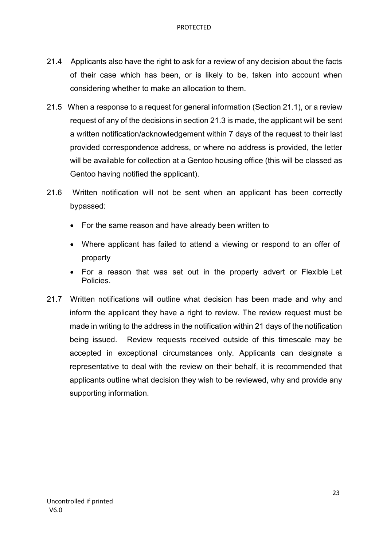- 21.4 Applicants also have the right to ask for a review of any decision about the facts of their case which has been, or is likely to be, taken into account when considering whether to make an allocation to them.
- 21.5 When a response to a request for general information (Section 21.1), or a review request of any of the decisions in section 21.3 is made, the applicant will be sent a written notification/acknowledgement within 7 days of the request to their last provided correspondence address, or where no address is provided, the letter will be available for collection at a Gentoo housing office (this will be classed as Gentoo having notified the applicant).
- 21.6 Written notification will not be sent when an applicant has been correctly bypassed:
	- For the same reason and have already been written to
	- Where applicant has failed to attend a viewing or respond to an offer of property
	- For a reason that was set out in the property advert or Flexible Let Policies.
- 21.7 Written notifications will outline what decision has been made and why and inform the applicant they have a right to review. The review request must be made in writing to the address in the notification within 21 days of the notification being issued. Review requests received outside of this timescale may be accepted in exceptional circumstances only. Applicants can designate a representative to deal with the review on their behalf, it is recommended that applicants outline what decision they wish to be reviewed, why and provide any supporting information.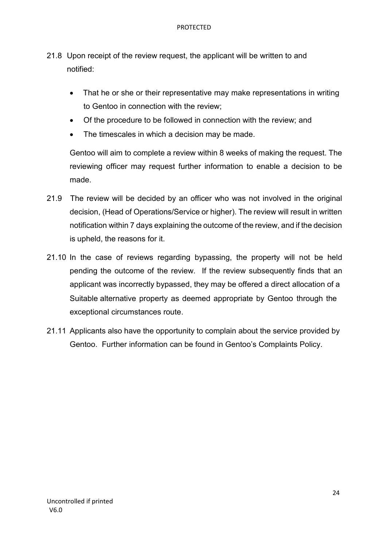- 21.8 Upon receipt of the review request, the applicant will be written to and notified:
	- That he or she or their representative may make representations in writing to Gentoo in connection with the review;
	- Of the procedure to be followed in connection with the review; and
	- The timescales in which a decision may be made.

Gentoo will aim to complete a review within 8 weeks of making the request. The reviewing officer may request further information to enable a decision to be made.

- 21.9 The review will be decided by an officer who was not involved in the original decision, (Head of Operations/Service or higher). The review will result in written notification within 7 days explaining the outcome of the review, and if the decision is upheld, the reasons for it.
- 21.10 In the case of reviews regarding bypassing, the property will not be held pending the outcome of the review. If the review subsequently finds that an applicant was incorrectly bypassed, they may be offered a direct allocation of a Suitable alternative property as deemed appropriate by Gentoo through the exceptional circumstances route.
- 21.11 Applicants also have the opportunity to complain about the service provided by Gentoo. Further information can be found in Gentoo's Complaints Policy.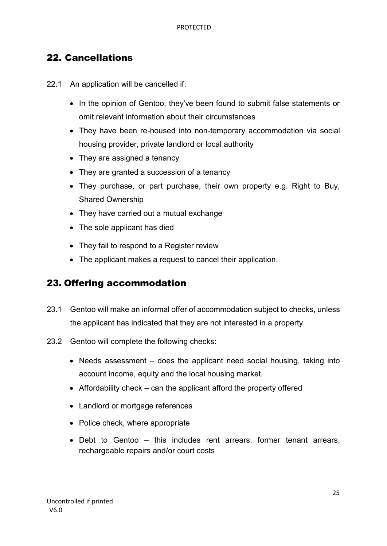## 22. Cancellations

22.1 An application will be cancelled if:

- In the opinion of Gentoo, they've been found to submit false statements or omit relevant information about their circumstances
- They have been re-housed into non-temporary accommodation via social housing provider, private landlord or local authority
- They are assigned a tenancy
- They are granted a succession of a tenancy
- They purchase, or part purchase, their own property e.g. Right to Buy, Shared Ownership
- They have carried out a mutual exchange
- The sole applicant has died
- They fail to respond to a Register review
- The applicant makes a request to cancel their application.

## 23. Offering accommodation

- 23.1 Gentoo will make an informal offer of accommodation subject to checks, unless the applicant has indicated that they are not interested in a property.
- 23.2 Gentoo will complete the following checks:
	- Needs assessment does the applicant need social housing, taking into account income, equity and the local housing market.
	- Affordability check can the applicant afford the property offered
	- Landlord or mortgage references
	- Police check, where appropriate
	- Debt to Gentoo this includes rent arrears, former tenant arrears, rechargeable repairs and/or court costs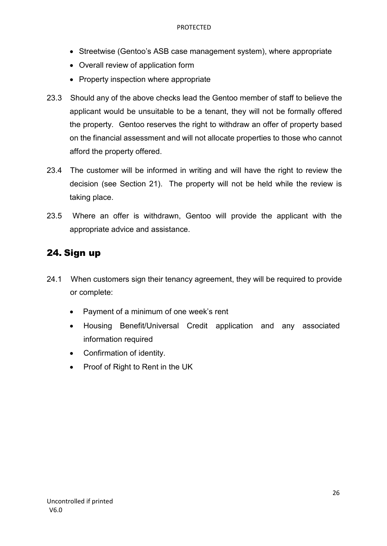- Streetwise (Gentoo's ASB case management system), where appropriate
- Overall review of application form
- Property inspection where appropriate
- 23.3 Should any of the above checks lead the Gentoo member of staff to believe the applicant would be unsuitable to be a tenant, they will not be formally offered the property. Gentoo reserves the right to withdraw an offer of property based on the financial assessment and will not allocate properties to those who cannot afford the property offered.
- 23.4 The customer will be informed in writing and will have the right to review the decision (see Section 21). The property will not be held while the review is taking place.
- 23.5 Where an offer is withdrawn, Gentoo will provide the applicant with the appropriate advice and assistance.

## 24. Sign up

- 24.1 When customers sign their tenancy agreement, they will be required to provide or complete:
	- Payment of a minimum of one week's rent
	- Housing Benefit/Universal Credit application and any associated information required
	- Confirmation of identity.
	- Proof of Right to Rent in the UK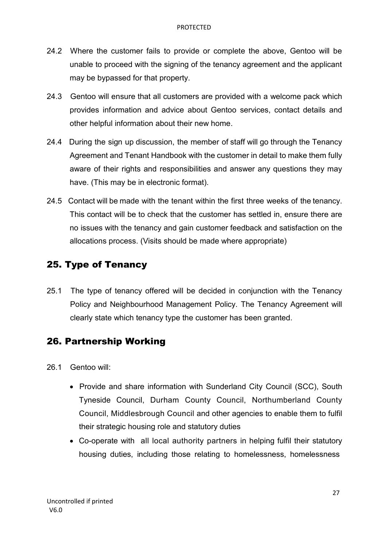- 24.2 Where the customer fails to provide or complete the above, Gentoo will be unable to proceed with the signing of the tenancy agreement and the applicant may be bypassed for that property.
- 24.3 Gentoo will ensure that all customers are provided with a welcome pack which provides information and advice about Gentoo services, contact details and other helpful information about their new home.
- 24.4 During the sign up discussion, the member of staff will go through the Tenancy Agreement and Tenant Handbook with the customer in detail to make them fully aware of their rights and responsibilities and answer any questions they may have. (This may be in electronic format).
- 24.5 Contact will be made with the tenant within the first three weeks of the tenancy. This contact will be to check that the customer has settled in, ensure there are no issues with the tenancy and gain customer feedback and satisfaction on the allocations process. (Visits should be made where appropriate)

## 25. Type of Tenancy

25.1 The type of tenancy offered will be decided in conjunction with the Tenancy Policy and Neighbourhood Management Policy. The Tenancy Agreement will clearly state which tenancy type the customer has been granted.

## 26. Partnership Working

- 26.1 Gentoo will:
	- Provide and share information with Sunderland City Council (SCC), South Tyneside Council, Durham County Council, Northumberland County Council, Middlesbrough Council and other agencies to enable them to fulfil their strategic housing role and statutory duties
	- Co-operate with all local authority partners in helping fulfil their statutory housing duties, including those relating to homelessness, homelessness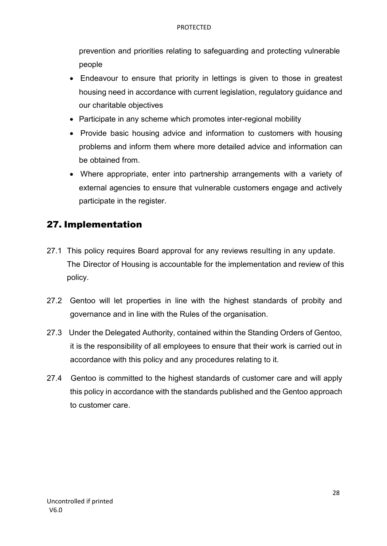prevention and priorities relating to safeguarding and protecting vulnerable people

- Endeavour to ensure that priority in lettings is given to those in greatest housing need in accordance with current legislation, regulatory guidance and our charitable objectives
- Participate in any scheme which promotes inter-regional mobility
- Provide basic housing advice and information to customers with housing problems and inform them where more detailed advice and information can be obtained from.
- Where appropriate, enter into partnership arrangements with a variety of external agencies to ensure that vulnerable customers engage and actively participate in the register.

## 27. Implementation

- 27.1 This policy requires Board approval for any reviews resulting in any update. The Director of Housing is accountable for the implementation and review of this policy.
- 27.2 Gentoo will let properties in line with the highest standards of probity and governance and in line with the Rules of the organisation.
- 27.3 Under the Delegated Authority, contained within the Standing Orders of Gentoo, it is the responsibility of all employees to ensure that their work is carried out in accordance with this policy and any procedures relating to it.
- 27.4 Gentoo is committed to the highest standards of customer care and will apply this policy in accordance with the standards published and the Gentoo approach to customer care.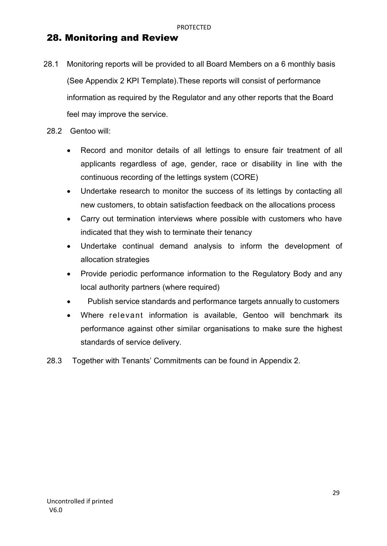## 28. Monitoring and Review

- 28.1 Monitoring reports will be provided to all Board Members on a 6 monthly basis (See Appendix 2 KPI Template).These reports will consist of performance information as required by the Regulator and any other reports that the Board feel may improve the service.
- 28.2 Gentoo will:
	- Record and monitor details of all lettings to ensure fair treatment of all applicants regardless of age, gender, race or disability in line with the continuous recording of the lettings system (CORE)
	- Undertake research to monitor the success of its lettings by contacting all new customers, to obtain satisfaction feedback on the allocations process
	- Carry out termination interviews where possible with customers who have indicated that they wish to terminate their tenancy
	- Undertake continual demand analysis to inform the development of allocation strategies
	- Provide periodic performance information to the Regulatory Body and any local authority partners (where required)
	- Publish service standards and performance targets annually to customers
	- Where relevant information is available, Gentoo will benchmark its performance against other similar organisations to make sure the highest standards of service delivery.
- 28.3 Together with Tenants' Commitments can be found in Appendix 2.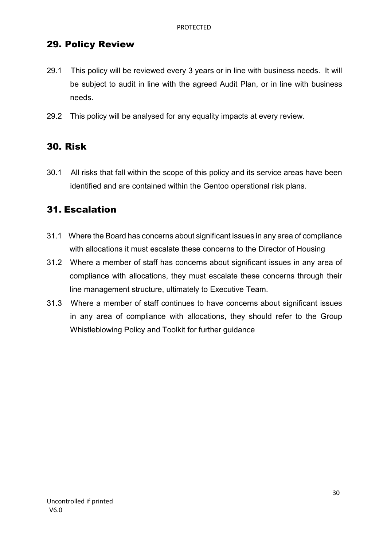## 29. Policy Review

- 29.1 This policy will be reviewed every 3 years or in line with business needs. It will be subject to audit in line with the agreed Audit Plan, or in line with business needs.
- 29.2 This policy will be analysed for any equality impacts at every review.

### 30. Risk

30.1 All risks that fall within the scope of this policy and its service areas have been identified and are contained within the Gentoo operational risk plans.

### 31. Escalation

- 31.1 Where the Board has concerns about significant issues in any area of compliance with allocations it must escalate these concerns to the Director of Housing
- 31.2 Where a member of staff has concerns about significant issues in any area of compliance with allocations, they must escalate these concerns through their line management structure, ultimately to Executive Team.
- 31.3 Where a member of staff continues to have concerns about significant issues in any area of compliance with allocations, they should refer to the Group Whistleblowing Policy and Toolkit for further guidance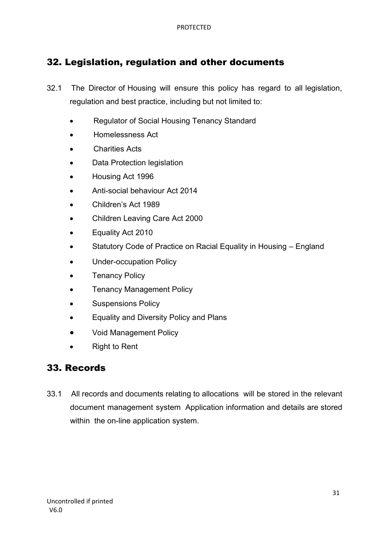## 32. Legislation, regulation and other documents

- 32.1 The Director of Housing will ensure this policy has regard to all legislation, regulation and best practice, including but not limited to:
	- Regulator of Social Housing Tenancy Standard
	- Homelessness Act
	- Charities Acts
	- Data Protection legislation
	- Housing Act 1996
	- Anti-social behaviour Act 2014
	- Children's Act 1989
	- Children Leaving Care Act 2000
	- Equality Act 2010
	- Statutory Code of Practice on Racial Equality in Housing England
	- Under-occupation Policy
	- **Tenancy Policy**
	- Tenancy Management Policy
	- Suspensions Policy
	- Equality and Diversity Policy and Plans
	- Void Management Policy
	- **Right to Rent**

### 33. Records

33.1 All records and documents relating to allocations will be stored in the relevant document management system Application information and details are stored within the on-line application system.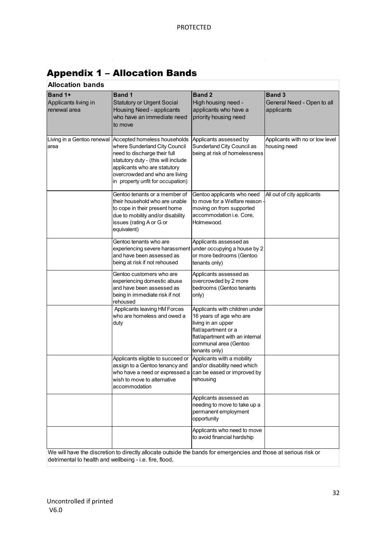| <b>Allocation bands</b>                                |                                                                                                                                                                                                                                             |                                                                                                                                                                                     |                                                           |
|--------------------------------------------------------|---------------------------------------------------------------------------------------------------------------------------------------------------------------------------------------------------------------------------------------------|-------------------------------------------------------------------------------------------------------------------------------------------------------------------------------------|-----------------------------------------------------------|
| <b>Band 1+</b><br>Applicants living in<br>renewal area | <b>Band 1</b><br><b>Statutory or Urgent Social</b><br>Housing Need - applicants<br>who have an immediate need<br>to move                                                                                                                    | <b>Band 2</b><br>High housing need -<br>applicants who have a<br>priority housing need                                                                                              | <b>Band 3</b><br>General Need - Open to all<br>applicants |
| Living in a Gentoo renewal<br>area                     | Accepted homeless households<br>where Sunderland City Council<br>need to discharge their full<br>statutory duty - (this will include<br>applicants who are statutory<br>overcrowded and who are living<br>in property unfit for occupation) | Applicants assessed by<br>Sunderland City Council as<br>being at risk of homelessness                                                                                               | Applicants with no or low level<br>housing need           |
|                                                        | Gentoo tenants or a member of<br>their household who are unable<br>to cope in their present home<br>due to mobility and/or disability<br>issues (rating A or G or<br>equivalent)                                                            | Gentoo applicants who need<br>to move for a Welfare reason<br>moving on from supported<br>accommodation i.e. Core,<br>Holmewood.                                                    | All out of city applicants                                |
|                                                        | Gentoo tenants who are<br>experiencing severe harassment under occupying a house by 2<br>and have been assessed as<br>being at risk if not rehoused                                                                                         | Applicants assessed as<br>or more bedrooms (Gentoo<br>tenants only)                                                                                                                 |                                                           |
|                                                        | Gentoo customers who are<br>experiencing domestic abuse<br>and have been assessed as<br>being in immediate risk if not<br>rehoused                                                                                                          | Applicants assessed as<br>overcrowded by 2 more<br>bedrooms (Gentoo tenants<br>only)                                                                                                |                                                           |
|                                                        | Applicants leaving HM Forces<br>who are homeless and owed a<br>duty                                                                                                                                                                         | Applicants with children under<br>16 years of age who are<br>living in an upper<br>flat/apartment or a<br>flat/apartment with an internal<br>communal area (Gentoo<br>tenants only) |                                                           |
|                                                        | Applicants eligible to succeed or<br>assign to a Gentoo tenancy and<br>who have a need or expressed a can be eased or improved by<br>wish to move to alternative<br>accommodation                                                           | Applicants with a mobility<br>and/or disability need which<br>rehousing                                                                                                             |                                                           |
|                                                        |                                                                                                                                                                                                                                             | Applicants assessed as<br>needing to move to take up a<br>permanent employment<br>opportunity                                                                                       |                                                           |
|                                                        | We will have the discretion to directly allocate outside the bands for emergencies and those at serious risk or                                                                                                                             | Applicants who need to move<br>to avoid financial hardship                                                                                                                          |                                                           |
|                                                        |                                                                                                                                                                                                                                             |                                                                                                                                                                                     |                                                           |

## Appendix 1 – Allocation Bands

We will have the discretion to directly allocate outside the bands for emergencies and those at serious risk or detrimental to health and wellbeing - i.e. fire, flood,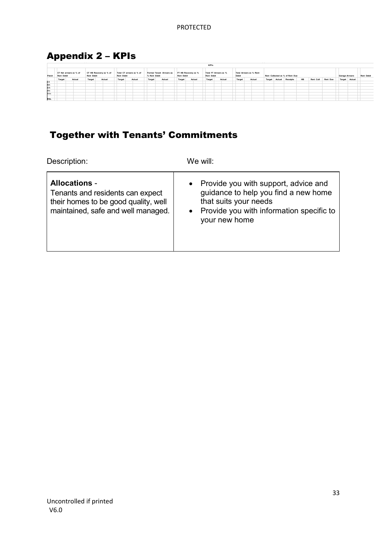## Appendix 2 – KPIs

|       | - -               |                        |                   |                        |                   |                          |              |                          |                                          |        |                                     |        |                                  |        |                  |                                 |    |           |          |                       |               |                   |
|-------|-------------------|------------------------|-------------------|------------------------|-------------------|--------------------------|--------------|--------------------------|------------------------------------------|--------|-------------------------------------|--------|----------------------------------|--------|------------------|---------------------------------|----|-----------|----------|-----------------------|---------------|-------------------|
|       |                   |                        |                   |                        |                   |                          |              |                          |                                          |        | <b>KPI's</b>                        |        |                                  |        |                  |                                 |    |           |          |                       |               |                   |
| Patch | <b>Rent Debit</b> | CT Net arrears as % of | <b>Rent Debit</b> | CT HB Recovery as % of | <b>Rent Debit</b> | Total CT arrears as % of | % Rent Debit | Former Tenant Arrears as | FT HB Recovery as %<br><b>Rent Debit</b> |        | Total FT Arrears as %<br>Rent Debit |        | Total Arrears as % Rent<br>Debit |        |                  | Rent Collected as % of Rent Due |    |           |          | <b>Garage Arrears</b> |               | <b>Rent Debit</b> |
|       | Target            | Actual                 | Target            | Actual                 | Target            | Actual                   | Target       | Actual                   | Target                                   | Actual | Target                              | Actual | Target                           | Actual | Actual<br>Target | Receipts                        | HB | Rent Coll | Rent Due |                       | Target Actual |                   |
| Ct    |                   |                        |                   |                        |                   |                          |              |                          |                                          |        |                                     |        |                                  |        |                  |                                 |    |           |          |                       |               |                   |
| Nth   |                   |                        |                   |                        |                   |                          |              |                          |                                          |        |                                     |        |                                  |        |                  |                                 |    |           |          |                       |               |                   |
| Sth   |                   |                        |                   |                        |                   |                          |              |                          |                                          |        |                                     |        |                                  |        |                  |                                 |    |           |          |                       |               |                   |
| Hitn  |                   |                        |                   |                        |                   |                          |              |                          |                                          |        |                                     |        |                                  |        |                  |                                 |    |           |          |                       |               |                   |
| Wtn   |                   |                        |                   |                        |                   |                          |              |                          |                                          |        |                                     |        |                                  |        |                  |                                 |    |           |          |                       |               |                   |
|       |                   |                        |                   |                        |                   |                          |              |                          |                                          |        |                                     |        |                                  |        |                  |                                 |    |           |          |                       |               |                   |
| RSL   |                   |                        |                   |                        |                   |                          |              |                          |                                          |        |                                     |        |                                  |        |                  |                                 |    |           |          |                       |               |                   |

## Together with Tenants' Commitments

Description: We will:

| <b>Allocations -</b><br>Tenants and residents can expect<br>their homes to be good quality, well<br>maintained, safe and well managed. | • Provide you with support, advice and<br>guidance to help you find a new home<br>that suits your needs<br>• Provide you with information specific to<br>your new home |
|----------------------------------------------------------------------------------------------------------------------------------------|------------------------------------------------------------------------------------------------------------------------------------------------------------------------|
|----------------------------------------------------------------------------------------------------------------------------------------|------------------------------------------------------------------------------------------------------------------------------------------------------------------------|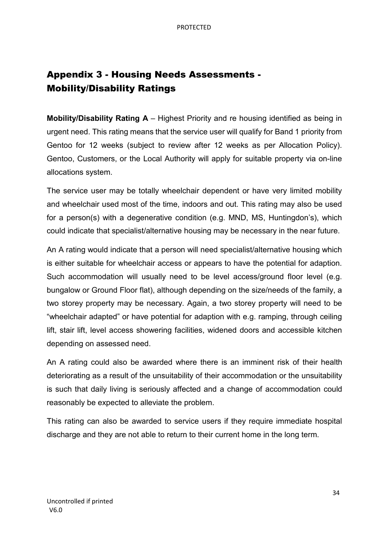## Appendix 3 - Housing Needs Assessments - Mobility/Disability Ratings

**Mobility/Disability Rating A** – Highest Priority and re housing identified as being in urgent need. This rating means that the service user will qualify for Band 1 priority from Gentoo for 12 weeks (subject to review after 12 weeks as per Allocation Policy). Gentoo, Customers, or the Local Authority will apply for suitable property via on-line allocations system.

The service user may be totally wheelchair dependent or have very limited mobility and wheelchair used most of the time, indoors and out. This rating may also be used for a person(s) with a degenerative condition (e.g. MND, MS, Huntingdon's), which could indicate that specialist/alternative housing may be necessary in the near future.

An A rating would indicate that a person will need specialist/alternative housing which is either suitable for wheelchair access or appears to have the potential for adaption. Such accommodation will usually need to be level access/ground floor level (e.g. bungalow or Ground Floor flat), although depending on the size/needs of the family, a two storey property may be necessary. Again, a two storey property will need to be "wheelchair adapted" or have potential for adaption with e.g. ramping, through ceiling lift, stair lift, level access showering facilities, widened doors and accessible kitchen depending on assessed need.

An A rating could also be awarded where there is an imminent risk of their health deteriorating as a result of the unsuitability of their accommodation or the unsuitability is such that daily living is seriously affected and a change of accommodation could reasonably be expected to alleviate the problem.

This rating can also be awarded to service users if they require immediate hospital discharge and they are not able to return to their current home in the long term.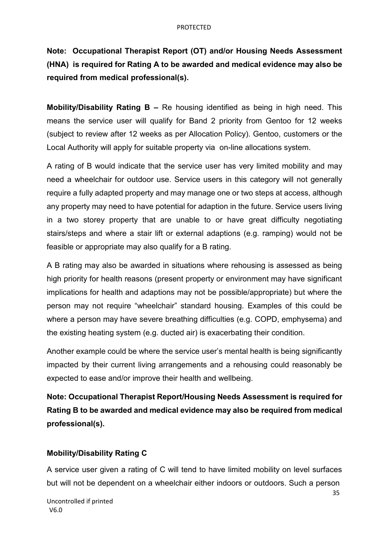**Note: Occupational Therapist Report (OT) and/or Housing Needs Assessment (HNA) is required for Rating A to be awarded and medical evidence may also be required from medical professional(s).**

**Mobility/Disability Rating B –** Re housing identified as being in high need. This means the service user will qualify for Band 2 priority from Gentoo for 12 weeks (subject to review after 12 weeks as per Allocation Policy). Gentoo, customers or the Local Authority will apply for suitable property via on-line allocations system.

A rating of B would indicate that the service user has very limited mobility and may need a wheelchair for outdoor use. Service users in this category will not generally require a fully adapted property and may manage one or two steps at access, although any property may need to have potential for adaption in the future. Service users living in a two storey property that are unable to or have great difficulty negotiating stairs/steps and where a stair lift or external adaptions (e.g. ramping) would not be feasible or appropriate may also qualify for a B rating.

A B rating may also be awarded in situations where rehousing is assessed as being high priority for health reasons (present property or environment may have significant implications for health and adaptions may not be possible/appropriate) but where the person may not require "wheelchair" standard housing. Examples of this could be where a person may have severe breathing difficulties (e.g. COPD, emphysema) and the existing heating system (e.g. ducted air) is exacerbating their condition.

Another example could be where the service user's mental health is being significantly impacted by their current living arrangements and a rehousing could reasonably be expected to ease and/or improve their health and wellbeing.

**Note: Occupational Therapist Report/Housing Needs Assessment is required for Rating B to be awarded and medical evidence may also be required from medical professional(s).**

#### **Mobility/Disability Rating C**

A service user given a rating of C will tend to have limited mobility on level surfaces but will not be dependent on a wheelchair either indoors or outdoors. Such a person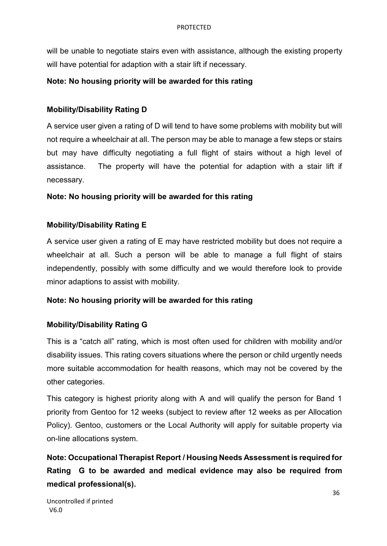will be unable to negotiate stairs even with assistance, although the existing property will have potential for adaption with a stair lift if necessary.

#### **Note: No housing priority will be awarded for this rating**

#### **Mobility/Disability Rating D**

A service user given a rating of D will tend to have some problems with mobility but will not require a wheelchair at all. The person may be able to manage a few steps or stairs but may have difficulty negotiating a full flight of stairs without a high level of assistance. The property will have the potential for adaption with a stair lift if necessary.

#### **Note: No housing priority will be awarded for this rating**

#### **Mobility/Disability Rating E**

A service user given a rating of E may have restricted mobility but does not require a wheelchair at all. Such a person will be able to manage a full flight of stairs independently, possibly with some difficulty and we would therefore look to provide minor adaptions to assist with mobility.

#### **Note: No housing priority will be awarded for this rating**

#### **Mobility/Disability Rating G**

This is a "catch all" rating, which is most often used for children with mobility and/or disability issues. This rating covers situations where the person or child urgently needs more suitable accommodation for health reasons, which may not be covered by the other categories.

This category is highest priority along with A and will qualify the person for Band 1 priority from Gentoo for 12 weeks (subject to review after 12 weeks as per Allocation Policy). Gentoo, customers or the Local Authority will apply for suitable property via on-line allocations system.

**Note: Occupational Therapist Report / Housing Needs Assessment is required for Rating G to be awarded and medical evidence may also be required from medical professional(s).**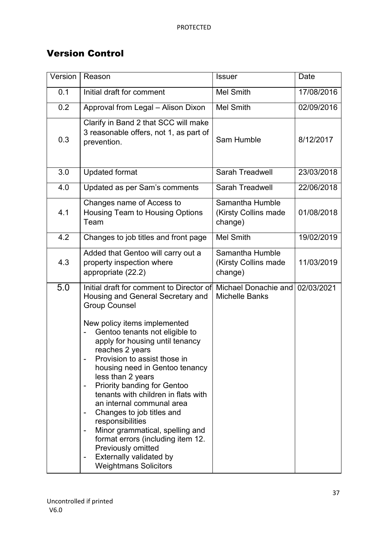## Version Control

| Version | Reason                                                                                                                                                                                                                                                                                                                                                                                                                                                                                                                                                                                                                                   | <b>Issuer</b>                                      | Date       |
|---------|------------------------------------------------------------------------------------------------------------------------------------------------------------------------------------------------------------------------------------------------------------------------------------------------------------------------------------------------------------------------------------------------------------------------------------------------------------------------------------------------------------------------------------------------------------------------------------------------------------------------------------------|----------------------------------------------------|------------|
| 0.1     | Initial draft for comment                                                                                                                                                                                                                                                                                                                                                                                                                                                                                                                                                                                                                | <b>Mel Smith</b>                                   | 17/08/2016 |
| 0.2     | Approval from Legal - Alison Dixon                                                                                                                                                                                                                                                                                                                                                                                                                                                                                                                                                                                                       | <b>Mel Smith</b>                                   | 02/09/2016 |
| 0.3     | Clarify in Band 2 that SCC will make<br>3 reasonable offers, not 1, as part of<br>prevention.                                                                                                                                                                                                                                                                                                                                                                                                                                                                                                                                            | Sam Humble                                         | 8/12/2017  |
| 3.0     | <b>Updated format</b>                                                                                                                                                                                                                                                                                                                                                                                                                                                                                                                                                                                                                    | <b>Sarah Treadwell</b>                             | 23/03/2018 |
| 4.0     | Updated as per Sam's comments                                                                                                                                                                                                                                                                                                                                                                                                                                                                                                                                                                                                            | <b>Sarah Treadwell</b>                             | 22/06/2018 |
| 4.1     | Changes name of Access to<br>Housing Team to Housing Options<br>Team                                                                                                                                                                                                                                                                                                                                                                                                                                                                                                                                                                     | Samantha Humble<br>(Kirsty Collins made<br>change) | 01/08/2018 |
| 4.2     | Changes to job titles and front page                                                                                                                                                                                                                                                                                                                                                                                                                                                                                                                                                                                                     | <b>Mel Smith</b>                                   | 19/02/2019 |
| 4.3     | Added that Gentoo will carry out a<br>property inspection where<br>appropriate (22.2)                                                                                                                                                                                                                                                                                                                                                                                                                                                                                                                                                    | Samantha Humble<br>(Kirsty Collins made<br>change) | 11/03/2019 |
| 5.0     | Initial draft for comment to Director of<br>Housing and General Secretary and<br><b>Group Counsel</b><br>New policy items implemented<br>Gentoo tenants not eligible to<br>apply for housing until tenancy<br>reaches 2 years<br>Provision to assist those in<br>housing need in Gentoo tenancy<br>less than 2 years<br><b>Priority banding for Gentoo</b><br>tenants with children in flats with<br>an internal communal area<br>Changes to job titles and<br>responsibilities<br>Minor grammatical, spelling and<br>format errors (including item 12.<br>Previously omitted<br>Externally validated by<br><b>Weightmans Solicitors</b> | Michael Donachie and<br><b>Michelle Banks</b>      | 02/03/2021 |